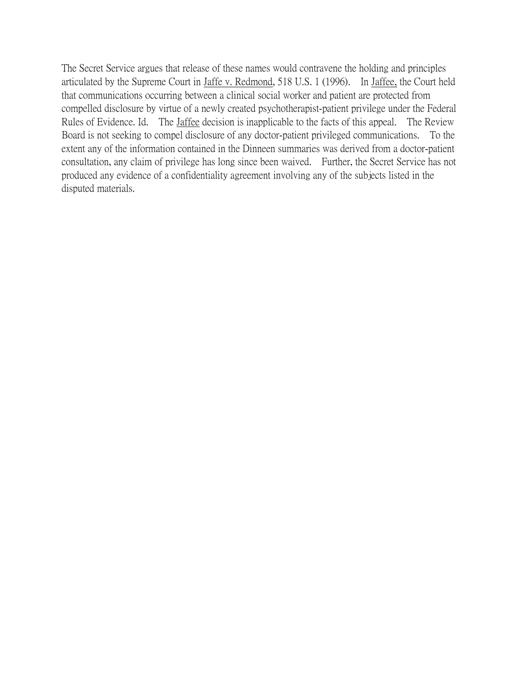The Secret Service argues that release of these names would contravene the holding and principles articulated by the Supreme Court in Jaffe v. Redmond, 518 U.S. 1 (1996). In Jaffee, the Court held that communications occurring between a clinical social worker and patient are protected from compelled disclosure by virtue of a newly created psychotherapist-patient privilege under the Federal Rules of Evidence. Id. The *Jaffee decision* is inapplicable to the facts of this appeal. The Review Board is not seeking to compel disclosure of any doctor-patient privileged communications. To the extent any of the information contained in the Dinneen summaries was derived from a doctor-patient consultation, any claim of privilege has long since been waived. Further, the Secret Service has not produced any evidence of a confidentiality agreement involving any of the subjects listed in the disputed materials.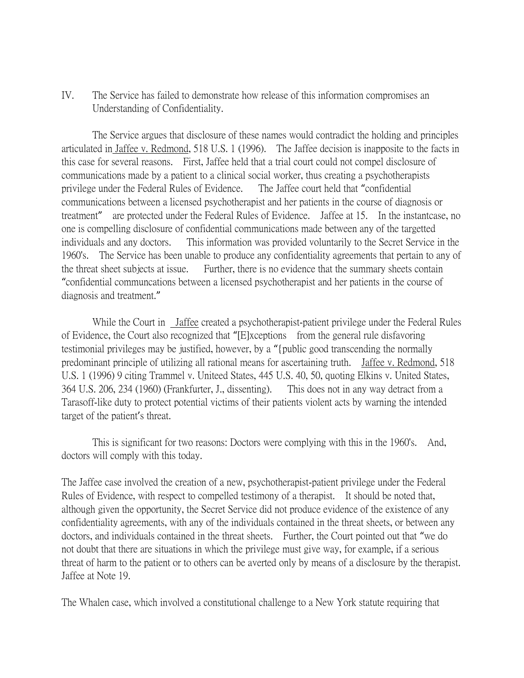IV. The Service has failed to demonstrate how release of this information compromises an Understanding of Confidentiality.

The Service argues that disclosure of these names would contradict the holding and principles articulated in Jaffee v. Redmond, 518 U.S. 1 (1996). The Jaffee decision is inapposite to the facts in this case for several reasons. First, Jaffee held that a trial court could not compel disclosure of communications made by a patient to a clinical social worker, thus creating a psychotherapists privilege under the Federal Rules of Evidence. The Jaffee court held that "confidential communications between a licensed psychotherapist and her patients in the course of diagnosis or treatment" are protected under the Federal Rules of Evidence. Jaffee at 15. In the instantcase, no one is compelling disclosure of confidential communications made between any of the targetted individuals and any doctors. This information was provided voluntarily to the Secret Service in the 1960's. The Service has been unable to produce any confidentiality agreements that pertain to any of the threat sheet subjects at issue. Further, there is no evidence that the summary sheets contain "confidential communcations between a licensed psychotherapist and her patients in the course of diagnosis and treatment."

While the Court in Jaffee created a psychotherapist-patient privilege under the Federal Rules of Evidence, the Court also recognized that "[E]xceptions from the general rule disfavoring testimonial privileges may be justified, however, by a "{public good transcending the normally predominant principle of utilizing all rational means for ascertaining truth. Jaffee v. Redmond, 518 U.S. 1 (1996) 9 citing Trammel v. Uniteed States, 445 U.S. 40, 50, quoting Elkins v. United States, 364 U.S. 206, 234 (1960) (Frankfurter, J., dissenting). This does not in any way detract from a Tarasoff-like duty to protect potential victims of their patients violent acts by warning the intended target of the patient's threat.

This is significant for two reasons: Doctors were complying with this in the 1960's. And, doctors will comply with this today.

The Jaffee case involved the creation of a new, psychotherapist-patient privilege under the Federal Rules of Evidence, with respect to compelled testimony of a therapist. It should be noted that, although given the opportunity, the Secret Service did not produce evidence of the existence of any confidentiality agreements, with any of the individuals contained in the threat sheets, or between any doctors, and individuals contained in the threat sheets. Further, the Court pointed out that "we do not doubt that there are situations in which the privilege must give way, for example, if a serious threat of harm to the patient or to others can be averted only by means of a disclosure by the therapist. Jaffee at Note 19.

The Whalen case, which involved a constitutional challenge to a New York statute requiring that